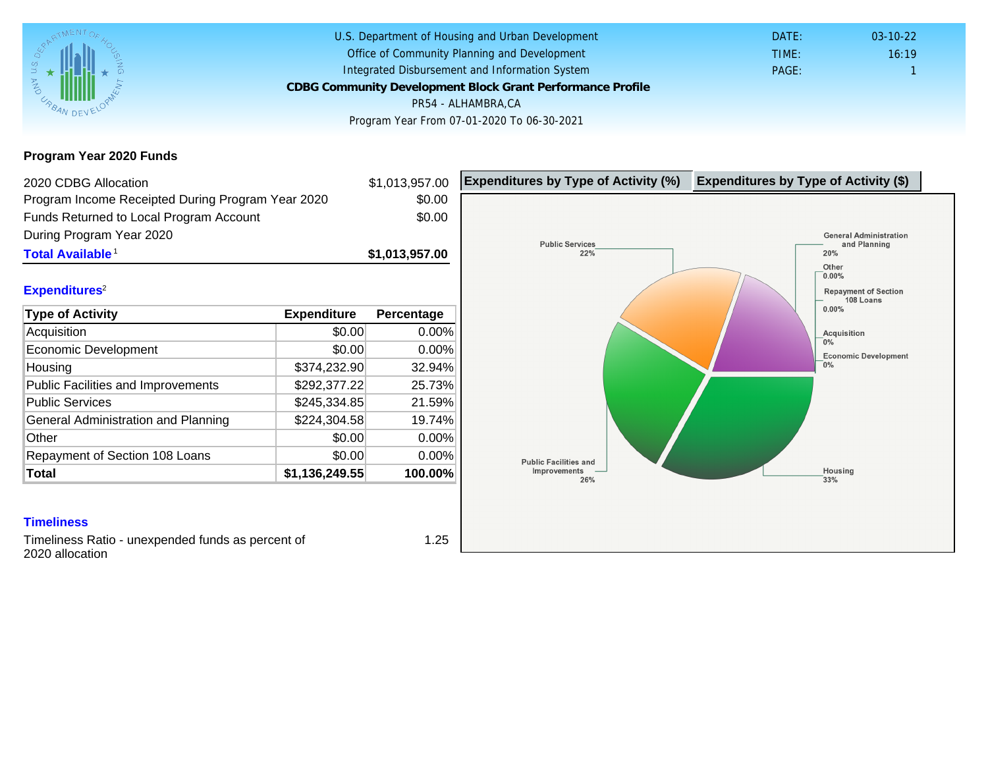Program Year 2020 Funds

| 2020 CDBG Allocation                              |                | \$1,013,957.00 | Expenditures by Type of Activity (%) | Expenditure |
|---------------------------------------------------|----------------|----------------|--------------------------------------|-------------|
| Program Income Receipted During Program Year 2020 |                | \$0.00         |                                      |             |
| Funds Returned to Local Program Account           |                | \$0.00         |                                      |             |
| During Program Year 2020                          |                |                |                                      |             |
| Total Available <sup>1</sup>                      |                | \$1,013,957.00 |                                      |             |
|                                                   |                |                |                                      |             |
| Expenditures <sup>2</sup>                         |                |                |                                      |             |
| Type of Activity                                  | Expenditure    | Percentage     |                                      |             |
| Acquisition                                       | \$0.00         | 0.00%          |                                      |             |
| Economic Development                              | \$0.00         | 0.00%          |                                      |             |
| Housing                                           | \$374,232.90   | 32.94%         |                                      |             |
| <b>Public Facilities and Improvements</b>         | \$292,377.22   | 25.73%         |                                      |             |
| <b>Public Services</b>                            | \$245,334.85   | 21.59%         |                                      |             |
| General Administration and Planning               | \$224,304.58   | 19.74%         |                                      |             |
| Other                                             | \$0.00         | 0.00%          |                                      |             |
| Repayment of Section 108 Loans                    | \$0.00         | 0.00%          |                                      |             |
| Total                                             | \$1,136,249.55 | 100.00%        |                                      |             |
|                                                   |                |                |                                      |             |
|                                                   |                |                |                                      |             |
| <b>Timeliness</b>                                 |                |                |                                      |             |

Timeliness Ratio - unexpended funds as percent of 2020 allocation

1.25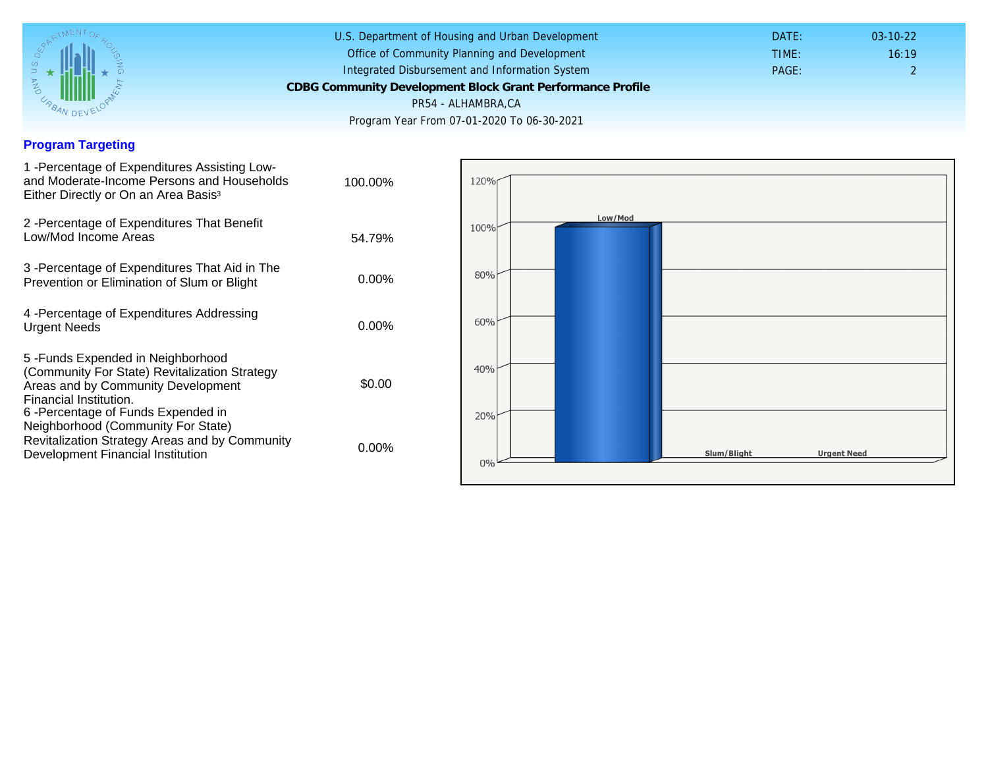## Program Targeting

| 1 - Percentage of Expenditures Assisting Low-<br>and Moderate-Income Persons and Households<br>Either Directly or On an Area Basis <sup>3</sup>                                                                                | 100.00%  |
|--------------------------------------------------------------------------------------------------------------------------------------------------------------------------------------------------------------------------------|----------|
| 2 - Percentage of Expenditures That Benefit<br>Low/Mod Income Areas                                                                                                                                                            | 54.79%   |
| 3 -Percentage of Expenditures That Aid in The<br>Prevention or Elimination of Slum or Blight                                                                                                                                   | $0.00\%$ |
| 4 - Percentage of Expenditures Addressing<br><b>Urgent Needs</b>                                                                                                                                                               | $0.00\%$ |
| 5-Funds Expended in Neighborhood<br>(Community For State) Revitalization Strategy<br>Areas and by Community Development<br>Financial Institution.<br>6 - Percentage of Funds Expended in<br>Neighborhood (Community For State) | \$0.00   |
| Revitalization Strategy Areas and by Community<br>Development Financial Institution                                                                                                                                            | $0.00\%$ |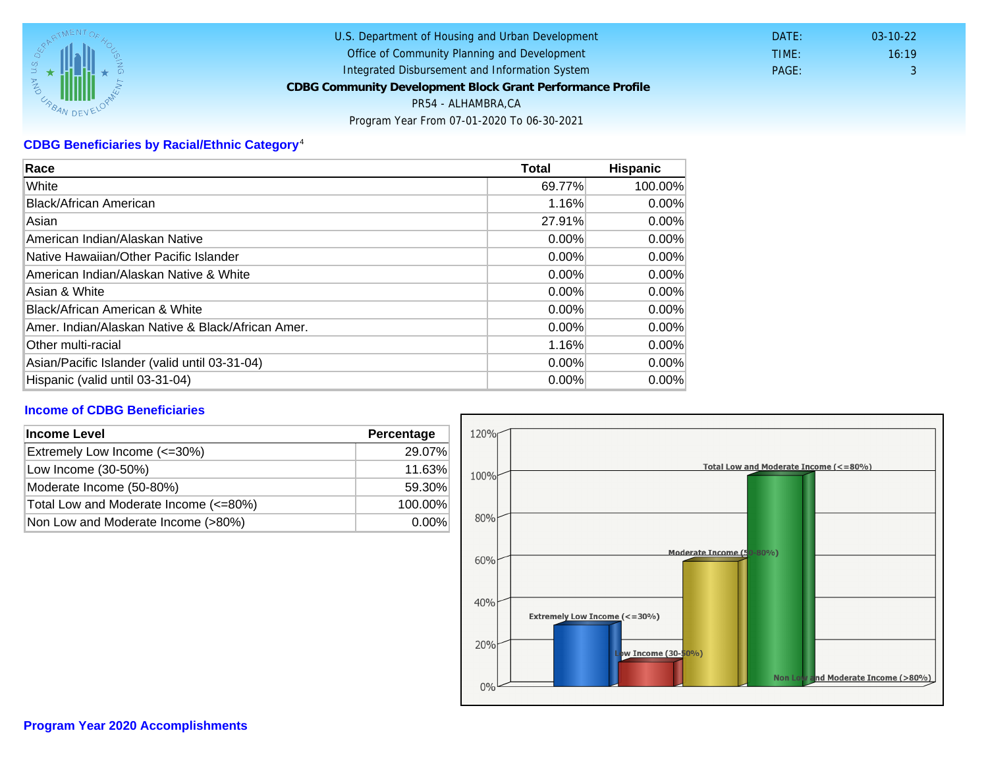## CDBG Beneficiaries by Racial/Ethnic Category <sup>4</sup>

| Race                                              | Total    | Hispanic |
|---------------------------------------------------|----------|----------|
| White                                             | 69.77%   | 100.00%  |
| Black/African American                            | 1.16%    | $0.00\%$ |
| Asian                                             | 27.91%   | $0.00\%$ |
| IAmerican Indian/Alaskan Native                   | 0.00%    | $0.00\%$ |
| lNative Hawaiian/Other Pacific Islander           | $0.00\%$ | $0.00\%$ |
| American Indian/Alaskan Native & White            | 0.00%    | $0.00\%$ |
| Asian & White                                     | 0.00%    | 0.00%    |
| Black/African American & White                    | 0.00%    | $0.00\%$ |
| Amer. Indian/Alaskan Native & Black/African Amer. | $0.00\%$ | $0.00\%$ |
| <b>Other multi-racial</b>                         | 1.16%    | 0.00%    |
| Asian/Pacific Islander (valid until 03-31-04)     | 0.00%    | 0.00%    |
| Hispanic (valid until 03-31-04)                   | 0.00%    | 0.00%    |

## Income of CDBG Beneficiaries

| Income Level                          | Percentage |
|---------------------------------------|------------|
| Extremely Low Income (<=30%)          | 29.07%     |
| Low Income (30-50%)                   | 11.63%     |
| Moderate Income (50-80%)              | 59.30%     |
| Total Low and Moderate Income (<=80%) | 100.00%    |
| Non Low and Moderate Income (>80%)    | $0.00\%$   |